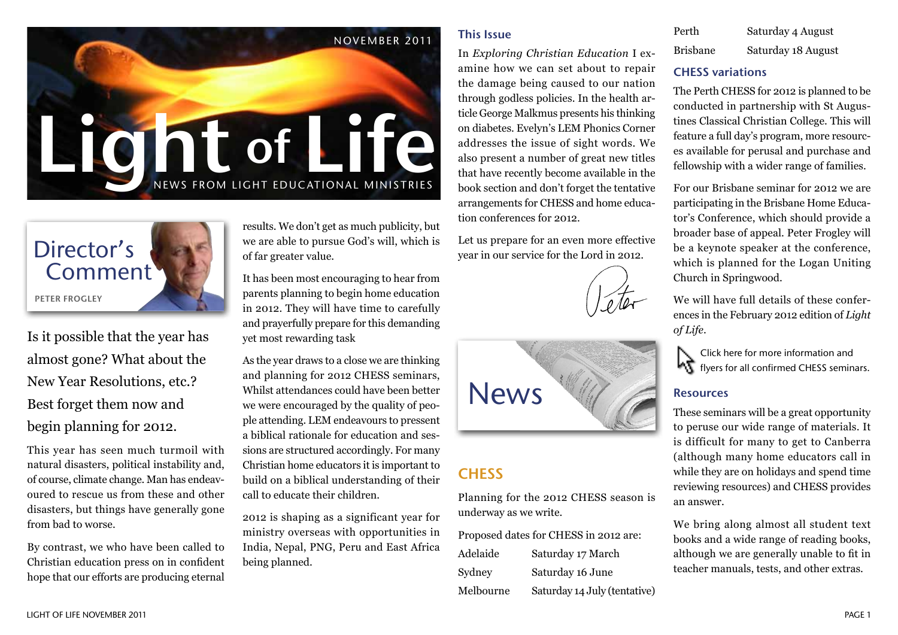



Is it possible that the year has almost gone? What about the New Year Resolutions, etc.? Best forget them now and begin planning for 2012.

This year has seen much turmoil with natural disasters, political instability and, of course, climate change. Man has endeavoured to rescue us from these and other disasters, but things have generally gone from bad to worse.

By contrast, we who have been called to Christian education press on in confident hope that our efforts are producing eternal results. We don't get as much publicity, but we are able to pursue God's will, which is of far greater value.

It has been most encouraging to hear from parents planning to begin home education in 2012. They will have time to carefully and prayerfully prepare for this demanding yet most rewarding task

As the year draws to a close we are thinking and planning for 2012 CHESS seminars, Whilst attendances could have been better we were encouraged by the quality of people attending. LEM endeavours to pressent a biblical rationale for education and sessions are structured accordingly. For many Christian home educators it is important to build on a biblical understanding of their call to educate their children.

2012 is shaping as a significant year for ministry overseas with opportunities in India, Nepal, PNG, Peru and East Africa being planned.

#### This Issue

In *Exploring Christian Education* I examine how we can set about to repair the damage being caused to our nation through godless policies. In the health article George Malkmus presents his thinking on diabetes. Evelyn's LEM Phonics Corner addresses the issue of sight words. We also present a number of great new titles that have recently become available in the book section and don't forget the tentative arrangements for CHESS and home education conferences for 2012.

Let us prepare for an even more effective year in our service for the Lord in 2012.





# **CHESS**

Planning for the 2012 CHESS season is underway as we write.

Proposed dates for CHESS in 2012 are: Adelaide Saturday 17 March Sydney Saturday 16 June Melbourne Saturday 14 July (tentative)

| Perth    | Saturday 4 August  |
|----------|--------------------|
| Brisbane | Saturday 18 August |

#### CHESS variations

The Perth CHESS for 2012 is planned to be conducted in partnership with St Augustines Classical Christian College. This will feature a full day's program, more resources available for perusal and purchase and fellowship with a wider range of families.

For our Brisbane seminar for 2012 we are participating in the Brisbane Home Educator's Conference, which should provide a broader base of appeal. Peter Frogley will be a keynote speaker at the conference, which is planned for the Logan Uniting Church in Springwood.

We will have full details of these conferences in the February 2012 edition of *Light of Life*.

Click here for more information and **K** flyers for all confirmed CHESS seminars.

#### Resources

These seminars will be a great opportunity to peruse our wide range of materials. It is difficult for many to get to Canberra (although many home educators call in while they are on holidays and spend time reviewing resources) and CHESS provides an answer.

We bring along almost all student text books and a wide range of reading books, although we are generally unable to fit in teacher manuals, tests, and other extras.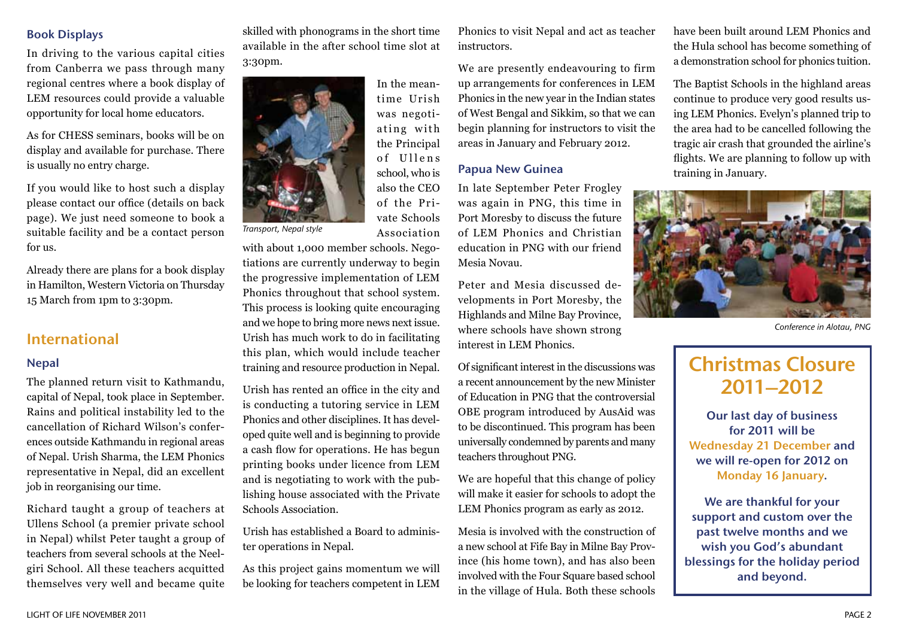#### Book Displays

In driving to the various capital cities from Canberra we pass through many regional centres where a book display of LEM resources could provide a valuable opportunity for local home educators.

As for CHESS seminars, books will be on display and available for purchase. There is usually no entry charge.

If you would like to host such a display please contact our office (details on back page). We just need someone to book a suitable facility and be a contact person for us.

Already there are plans for a book display in Hamilton, Western Victoria on Thursday 15 March from 1pm to 3:30pm.

# International

#### Nepal

The planned return visit to Kathmandu, capital of Nepal, took place in September. Rains and political instability led to the cancellation of Richard Wilson's conferences outside Kathmandu in regional areas of Nepal. Urish Sharma, the LEM Phonics representative in Nepal, did an excellent job in reorganising our time.

Richard taught a group of teachers at Ullens School (a premier private school in Nepal) whilst Peter taught a group of teachers from several schools at the Neelgiri School. All these teachers acquitted themselves very well and became quite skilled with phonograms in the short time available in the after school time slot at 3:30pm.



In the meantime Urish was negotiating with the Principal of Ullens school, who is also the CEO of the Private Schools Association

*Transport, Nepal style*

with about 1,000 member schools. Negotiations are currently underway to begin the progressive implementation of LEM Phonics throughout that school system. This process is looking quite encouraging and we hope to bring more news next issue. Urish has much work to do in facilitating this plan, which would include teacher training and resource production in Nepal.

Urish has rented an office in the city and is conducting a tutoring service in LEM Phonics and other disciplines. It has developed quite well and is beginning to provide a cash flow for operations. He has begun printing books under licence from LEM and is negotiating to work with the publishing house associated with the Private Schools Association.

Urish has established a Board to administer operations in Nepal.

As this project gains momentum we will be looking for teachers competent in LEM Phonics to visit Nepal and act as teacher instructors.

We are presently endeavouring to firm up arrangements for conferences in LEM Phonics in the new year in the Indian states of West Bengal and Sikkim, so that we can begin planning for instructors to visit the areas in January and February 2012.

#### Papua New Guinea

In late September Peter Frogley was again in PNG, this time in Port Moresby to discuss the future of LEM Phonics and Christian education in PNG with our friend Mesia Novau.

Peter and Mesia discussed developments in Port Moresby, the Highlands and Milne Bay Province, where schools have shown strong interest in LEM Phonics.

Of significant interest in the discussions was a recent announcement by the new Minister of Education in PNG that the controversial OBE program introduced by AusAid was to be discontinued. This program has been universally condemned by parents and many teachers throughout PNG.

We are hopeful that this change of policy will make it easier for schools to adopt the LEM Phonics program as early as 2012.

Mesia is involved with the construction of a new school at Fife Bay in Milne Bay Province (his home town), and has also been involved with the Four Square based school in the village of Hula. Both these schools

have been built around LEM Phonics and the Hula school has become something of a demonstration school for phonics tuition.

The Baptist Schools in the highland areas continue to produce very good results using LEM Phonics. Evelyn's planned trip to the area had to be cancelled following the tragic air crash that grounded the airline's flights. We are planning to follow up with training in January.



*Conference in Alotau, PNG*

# Christmas Closure 2011–2012

Our last day of business for 2011 will be Wednesday 21 December and we will re-open for 2012 on Monday 16 January.

We are thankful for your support and custom over the past twelve months and we wish you God's abundant blessings for the holiday period and beyond.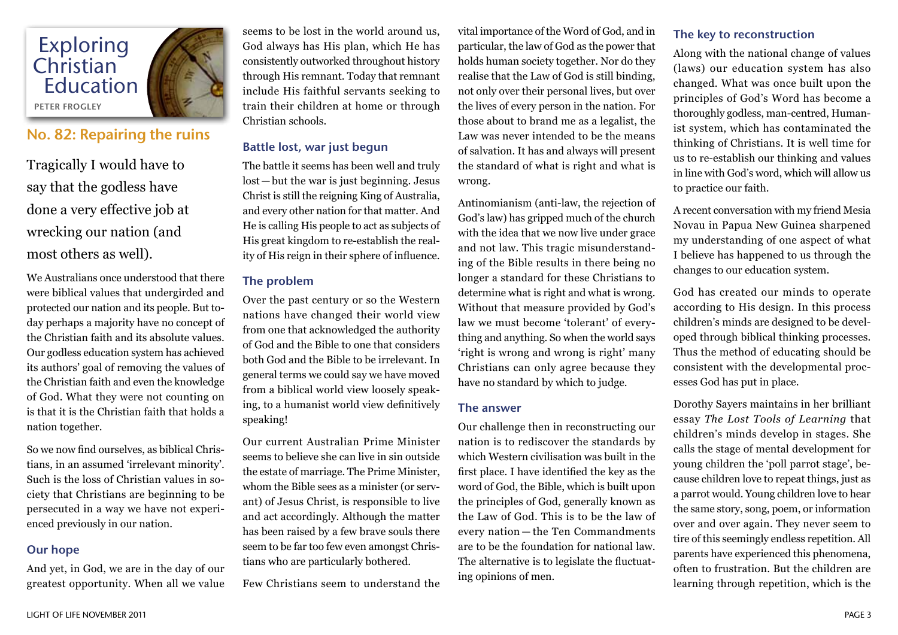

## No. 82: Repairing the ruins

Tragically I would have to say that the godless have done a very effective job at wrecking our nation (and most others as well).

We Australians once understood that there were biblical values that undergirded and protected our nation and its people. But today perhaps a majority have no concept of the Christian faith and its absolute values. Our godless education system has achieved its authors' goal of removing the values of the Christian faith and even the knowledge of God. What they were not counting on is that it is the Christian faith that holds a nation together.

So we now find ourselves, as biblical Christians, in an assumed 'irrelevant minority'. Such is the loss of Christian values in society that Christians are beginning to be persecuted in a way we have not experienced previously in our nation.

#### Our hope

And yet, in God, we are in the day of our greatest opportunity. When all we value

seems to be lost in the world around us, God always has His plan, which He has consistently outworked throughout history through His remnant. Today that remnant include His faithful servants seeking to train their children at home or through Christian schools.

#### Battle lost, war just begun

The battle it seems has been well and truly lost—but the war is just beginning. Jesus Christ is still the reigning King of Australia, and every other nation for that matter. And He is calling His people to act as subjects of His great kingdom to re-establish the reality of His reign in their sphere of influence.

#### The problem

Over the past century or so the Western nations have changed their world view from one that acknowledged the authority of God and the Bible to one that considers both God and the Bible to be irrelevant. In general terms we could say we have moved from a biblical world view loosely speaking, to a humanist world view definitively speaking!

Our current Australian Prime Minister seems to believe she can live in sin outside the estate of marriage. The Prime Minister, whom the Bible sees as a minister (or servant) of Jesus Christ, is responsible to live and act accordingly. Although the matter has been raised by a few brave souls there seem to be far too few even amongst Christians who are particularly bothered.

Few Christians seem to understand the

vital importance of the Word of God, and in particular, the law of God as the power that holds human society together. Nor do they realise that the Law of God is still binding, not only over their personal lives, but over the lives of every person in the nation. For those about to brand me as a legalist, the Law was never intended to be the means of salvation. It has and always will present the standard of what is right and what is wrong.

Antinomianism (anti-law, the rejection of God's law) has gripped much of the church with the idea that we now live under grace and not law. This tragic misunderstanding of the Bible results in there being no longer a standard for these Christians to determine what is right and what is wrong. Without that measure provided by God's law we must become 'tolerant' of everything and anything. So when the world says 'right is wrong and wrong is right' many Christians can only agree because they have no standard by which to judge.

#### The answer

Our challenge then in reconstructing our nation is to rediscover the standards by which Western civilisation was built in the first place. I have identified the key as the word of God, the Bible, which is built upon the principles of God, generally known as the Law of God. This is to be the law of every nation — the Ten Commandments are to be the foundation for national law. The alternative is to legislate the fluctuating opinions of men.

#### The key to reconstruction

Along with the national change of values (laws) our education system has also changed. What was once built upon the principles of God's Word has become a thoroughly godless, man-centred, Humanist system, which has contaminated the thinking of Christians. It is well time for us to re-establish our thinking and values in line with God's word, which will allow us to practice our faith.

A recent conversation with my friend Mesia Novau in Papua New Guinea sharpened my understanding of one aspect of what I believe has happened to us through the changes to our education system.

God has created our minds to operate according to His design. In this process children's minds are designed to be developed through biblical thinking processes. Thus the method of educating should be consistent with the developmental processes God has put in place.

Dorothy Sayers maintains in her brilliant essay *The Lost Tools of Learning* that children's minds develop in stages. She calls the stage of mental development for young children the 'poll parrot stage', because children love to repeat things, just as a parrot would. Young children love to hear the same story, song, poem, or information over and over again. They never seem to tire of this seemingly endless repetition. All parents have experienced this phenomena, often to frustration. But the children are learning through repetition, which is the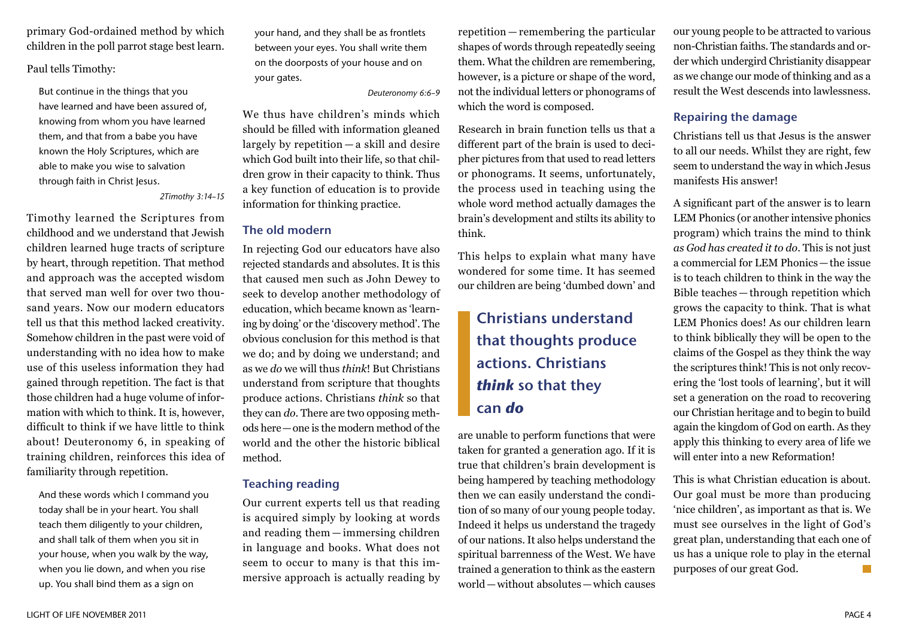primary God-ordained method by which children in the poll parrot stage best learn.

Paul tells Timothy:

But continue in the things that you have learned and have been assured of, knowing from whom you have learned them, and that from a babe you have known the Holy Scriptures, which are able to make you wise to salvation through faith in Christ Jesus.

*2Timothy 3:14–15* 

Timothy learned the Scriptures from childhood and we understand that Jewish children learned huge tracts of scripture by heart, through repetition. That method and approach was the accepted wisdom that served man well for over two thousand years. Now our modern educators tell us that this method lacked creativity. Somehow children in the past were void of understanding with no idea how to make use of this useless information they had gained through repetition. The fact is that those children had a huge volume of information with which to think. It is, however, difficult to think if we have little to think about! Deuteronomy 6, in speaking of training children, reinforces this idea of familiarity through repetition.

And these words which I command you today shall be in your heart. You shall teach them diligently to your children, and shall talk of them when you sit in your house, when you walk by the way, when you lie down, and when you rise up. You shall bind them as a sign on

your hand, and they shall be as frontlets between your eyes. You shall write them on the doorposts of your house and on your gates.

*Deuteronomy 6:6–9*

We thus have children's minds which should be filled with information gleaned largely by repetition — a skill and desire which God built into their life, so that children grow in their capacity to think. Thus a key function of education is to provide information for thinking practice.

#### The old modern

In rejecting God our educators have also rejected standards and absolutes. It is this that caused men such as John Dewey to seek to develop another methodology of education, which became known as 'learning by doing' or the 'discovery method'. The obvious conclusion for this method is that we do; and by doing we understand; and as we *do* we will thus *think*! But Christians understand from scripture that thoughts produce actions. Christians *think* so that they can *do*. There are two opposing methods here—one is the modern method of the world and the other the historic biblical method.

#### Teaching reading

Our current experts tell us that reading is acquired simply by looking at words and reading them — immersing children in language and books. What does not seem to occur to many is that this immersive approach is actually reading by repetition — remembering the particular shapes of words through repeatedly seeing them. What the children are remembering, however, is a picture or shape of the word, not the individual letters or phonograms of which the word is composed.

Research in brain function tells us that a different part of the brain is used to decipher pictures from that used to read letters or phonograms. It seems, unfortunately, the process used in teaching using the whole word method actually damages the brain's development and stilts its ability to think.

This helps to explain what many have wondered for some time. It has seemed our children are being 'dumbed down' and

# Christians understand that thoughts produce actions. Christians *think* so that they can *do*

are unable to perform functions that were taken for granted a generation ago. If it is true that children's brain development is being hampered by teaching methodology then we can easily understand the condition of so many of our young people today. Indeed it helps us understand the tragedy of our nations. It also helps understand the spiritual barrenness of the West. We have trained a generation to think as the eastern world—without absolutes—which causes

our young people to be attracted to various non-Christian faiths. The standards and order which undergird Christianity disappear as we change our mode of thinking and as a result the West descends into lawlessness.

#### Repairing the damage

Christians tell us that Jesus is the answer to all our needs. Whilst they are right, few seem to understand the way in which Jesus manifests His answer!

A significant part of the answer is to learn LEM Phonics (or another intensive phonics program) which trains the mind to think *as God has created it to do*. This is not just a commercial for LEM Phonics—the issue is to teach children to think in the way the Bible teaches — through repetition which grows the capacity to think. That is what LEM Phonics does! As our children learn to think biblically they will be open to the claims of the Gospel as they think the way the scriptures think! This is not only recovering the 'lost tools of learning', but it will set a generation on the road to recovering our Christian heritage and to begin to build again the kingdom of God on earth. As they apply this thinking to every area of life we will enter into a new Reformation!

This is what Christian education is about. Our goal must be more than producing 'nice children', as important as that is. We must see ourselves in the light of God's great plan, understanding that each one of us has a unique role to play in the eternal purposes of our great God.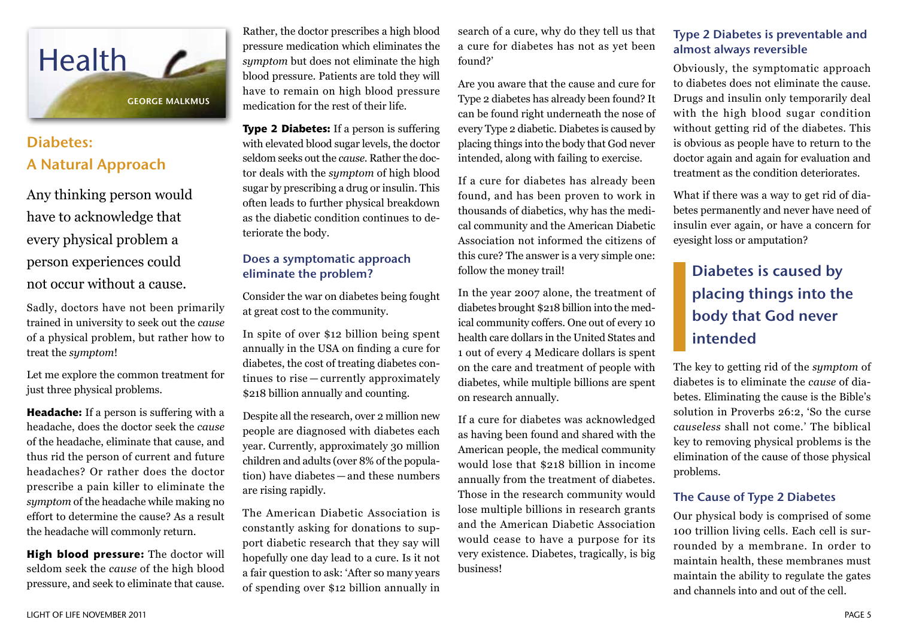

# Diabetes: A Natural Approach

Any thinking person would have to acknowledge that every physical problem a person experiences could not occur without a cause.

Sadly, doctors have not been primarily trained in university to seek out the *cause* of a physical problem, but rather how to treat the *symptom*!

Let me explore the common treatment for just three physical problems.

**Headache:** If a person is suffering with a headache, does the doctor seek the *cause* of the headache, eliminate that cause, and thus rid the person of current and future headaches? Or rather does the doctor prescribe a pain killer to eliminate the *symptom* of the headache while making no effort to determine the cause? As a result the headache will commonly return.

**High blood pressure:** The doctor will seldom seek the *cause* of the high blood pressure, and seek to eliminate that cause.

Rather, the doctor prescribes a high blood pressure medication which eliminates the *symptom* but does not eliminate the high blood pressure. Patients are told they will have to remain on high blood pressure medication for the rest of their life.

**Type 2 Diabetes:** If a person is suffering with elevated blood sugar levels, the doctor seldom seeks out the *cause*. Rather the doctor deals with the *symptom* of high blood sugar by prescribing a drug or insulin. This often leads to further physical breakdown as the diabetic condition continues to deteriorate the body.

#### Does a symptomatic approach eliminate the problem?

Consider the war on diabetes being fought at great cost to the community.

In spite of over \$12 billion being spent annually in the USA on finding a cure for diabetes, the cost of treating diabetes continues to rise — currently approximately \$218 billion annually and counting.

Despite all the research, over 2 million new people are diagnosed with diabetes each year. Currently, approximately 30 million children and adults (over 8% of the population) have diabetes — and these numbers are rising rapidly.

The American Diabetic Association is constantly asking for donations to support diabetic research that they say will hopefully one day lead to a cure. Is it not a fair question to ask: 'After so many years of spending over \$12 billion annually in search of a cure, why do they tell us that a cure for diabetes has not as yet been found?'

Are you aware that the cause and cure for Type 2 diabetes has already been found? It can be found right underneath the nose of every Type 2 diabetic. Diabetes is caused by placing things into the body that God never intended, along with failing to exercise.

If a cure for diabetes has already been found, and has been proven to work in thousands of diabetics, why has the medical community and the American Diabetic Association not informed the citizens of this cure? The answer is a very simple one: follow the money trail!

In the year 2007 alone, the treatment of diabetes brought \$218 billion into the medical community coffers. One out of every 10 health care dollars in the United States and 1 out of every 4 Medicare dollars is spent on the care and treatment of people with diabetes, while multiple billions are spent on research annually.

If a cure for diabetes was acknowledged as having been found and shared with the American people, the medical community would lose that \$218 billion in income annually from the treatment of diabetes. Those in the research community would lose multiple billions in research grants and the American Diabetic Association would cease to have a purpose for its very existence. Diabetes, tragically, is big business!

### Type 2 Diabetes is preventable and almost always reversible

Obviously, the symptomatic approach to diabetes does not eliminate the cause. Drugs and insulin only temporarily deal with the high blood sugar condition without getting rid of the diabetes. This is obvious as people have to return to the doctor again and again for evaluation and treatment as the condition deteriorates.

What if there was a way to get rid of diabetes permanently and never have need of insulin ever again, or have a concern for eyesight loss or amputation?

# Diabetes is caused by placing things into the body that God never intended

The key to getting rid of the *symptom* of diabetes is to eliminate the *cause* of diabetes. Eliminating the cause is the Bible's solution in Proverbs 26:2, 'So the curse *causeless* shall not come.' The biblical key to removing physical problems is the elimination of the cause of those physical problems.

#### The Cause of Type 2 Diabetes

Our physical body is comprised of some 100 trillion living cells. Each cell is surrounded by a membrane. In order to maintain health, these membranes must maintain the ability to regulate the gates and channels into and out of the cell.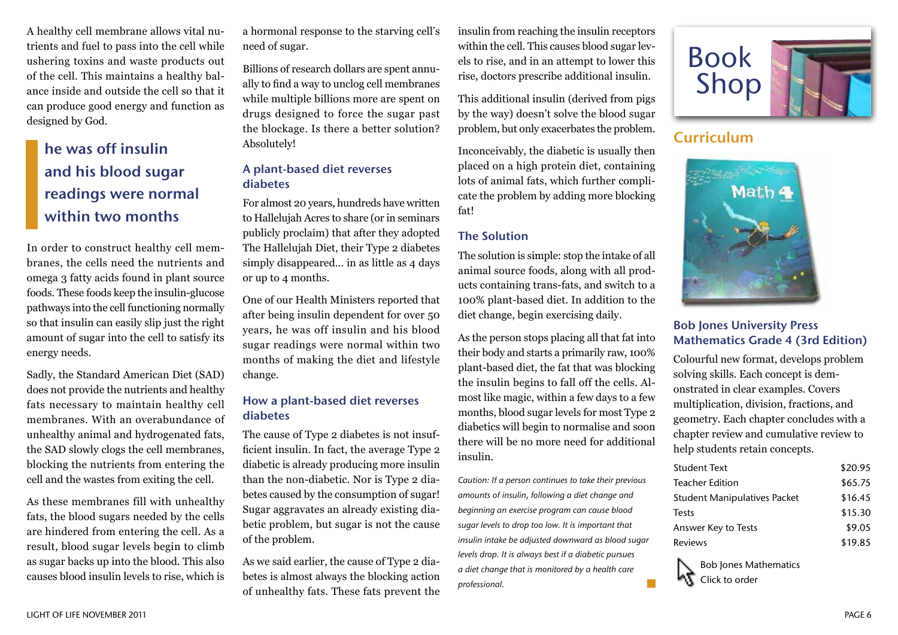A healthy cell membrane allows vital nutrients and fuel to pass into the cell while ushering toxins and waste products out of the cell. This maintains a healthy balance inside and outside the cell so that it can produce good energy and function as designed by God.

# he was off insulin and his blood sugar readings were normal within two months

In order to construct healthy cell membranes, the cells need the nutrients and omega 3 fatty acids found in plant source foods. These foods keep the insulin-glucose pathways into the cell functioning normally so that insulin can easily slip just the right amount of sugar into the cell to satisfy its energy needs.

Sadly, the Standard American Diet (SAD) does not provide the nutrients and healthy fats necessary to maintain healthy cell membranes. With an overabundance of unhealthy animal and hydrogenated fats, the SAD slowly clogs the cell membranes, blocking the nutrients from entering the cell and the wastes from exiting the cell.

As these membranes fill with unhealthy fats, the blood sugars needed by the cells are hindered from entering the cell. As a result, blood sugar levels begin to climb as sugar backs up into the blood. This also causes blood insulin levels to rise, which is a hormonal response to the starving cell's need of sugar.

Billions of research dollars are spent annually to find a way to unclog cell membranes while multiple billions more are spent on drugs designed to force the sugar past the blockage. Is there a better solution? Absolutely!

### A plant-based diet reverses diabetes

For almost 20 years, hundreds have written to Hallelujah Acres to share (or in seminars publicly proclaim) that after they adopted The Hallelujah Diet, their Type 2 diabetes simply disappeared… in as little as 4 days or up to 4 months.

One of our Health Ministers reported that after being insulin dependent for over 50 years, he was off insulin and his blood sugar readings were normal within two months of making the diet and lifestyle change.

#### How a plant-based diet reverses diabetes

The cause of Type 2 diabetes is not insufficient insulin. In fact, the average Type 2 diabetic is already producing more insulin than the non-diabetic. Nor is Type 2 diabetes caused by the consumption of sugar! Sugar aggravates an already existing diabetic problem, but sugar is not the cause of the problem.

As we said earlier, the cause of Type 2 diabetes is almost always the blocking action of unhealthy fats. These fats prevent the insulin from reaching the insulin receptors within the cell. This causes blood sugar levels to rise, and in an attempt to lower this rise, doctors prescribe additional insulin.

This additional insulin (derived from pigs by the way) doesn't solve the blood sugar problem, but only exacerbates the problem.

Inconceivably, the diabetic is usually then placed on a high protein diet, containing lots of animal fats, which further complicate the problem by adding more blocking fat!

#### The Solution

The solution is simple: stop the intake of all animal source foods, along with all products containing trans-fats, and switch to a 100% plant-based diet. In addition to the diet change, begin exercising daily.

As the person stops placing all that fat into their body and starts a primarily raw, 100% plant-based diet, the fat that was blocking the insulin begins to fall off the cells. Almost like magic, within a few days to a few months, blood sugar levels for most Type 2 diabetics will begin to normalise and soon there will be no more need for additional insulin.

*Caution: If a person continues to take their previous amounts of insulin, following a diet change and beginning an exercise program can cause blood sugar levels to drop too low. It is important that insulin intake be adjusted downward as blood sugar levels drop. It is always best if a diabetic pursues a diet change that is monitored by a health care professional.*



# Curriculum



### Bob Jones University Press Mathematics Grade 4 (3rd Edition)

Colourful new format, develops problem solving skills. Each concept is demonstrated in clear examples. Covers multiplication, division, fractions, and geometry. Each chapter concludes with a chapter review and cumulative review to help students retain concepts.

| Student Text                        | \$20.95 |
|-------------------------------------|---------|
| Teacher Edition                     | \$65.75 |
| <b>Student Manipulatives Packet</b> | \$16.45 |
| Tests                               | \$15.30 |
| Answer Key to Tests                 | \$9.05  |
| Reviews                             | \$19.85 |

Bob Jones Mathematics Click to order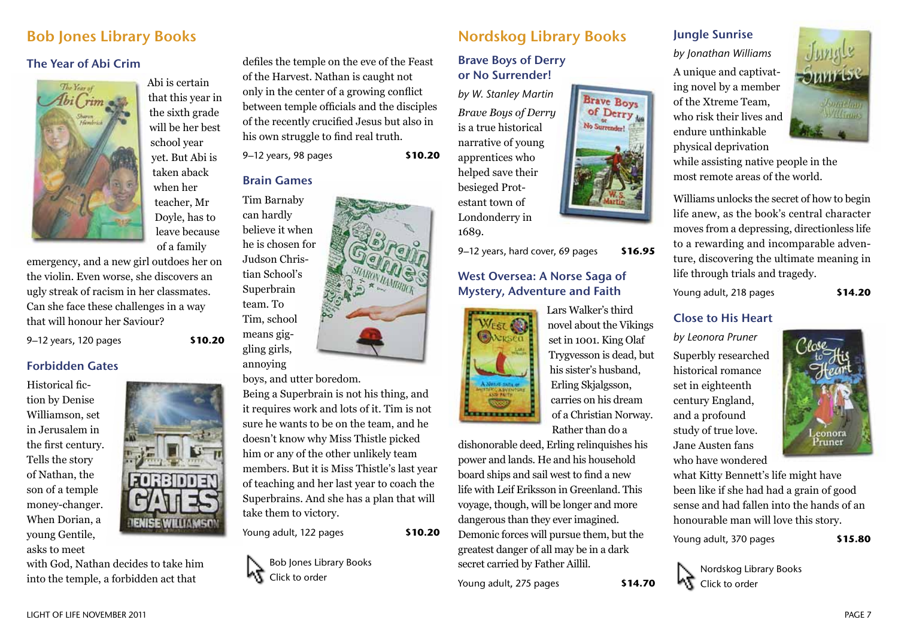# Bob Jones Library Books

#### The Year of Abi Crim



Abi is certain that this year in the sixth grade will be her best school year yet. But Abi is taken aback when her teacher, Mr Doyle, has to leave because

of a family

emergency, and a new girl outdoes her on the violin. Even worse, she discovers an ugly streak of racism in her classmates. Can she face these challenges in a way that will honour her Saviour?

9–12 years, 120 pages **\$10.20**

#### Forbidden Gates

Historical fiction by Denise Williamson, set in Jerusalem in the first century. Tells the story of Nathan, the son of a temple money-changer. When Dorian, a young Gentile, asks to meet



with God, Nathan decides to take him into the temple, a forbidden act that

defiles the temple on the eve of the Feast of the Harvest. Nathan is caught not only in the center of a growing conflict between temple officials and the disciples of the recently crucified Jesus but also in his own struggle to find real truth.

9–12 years, 98 pages **\$10.20**

#### Brain Games

Tim Barnaby can hardly believe it when he is chosen for Judson Christian School's Superbrain team. To Tim, school means giggling girls, annoying

boys, and utter boredom.

Being a Superbrain is not his thing, and it requires work and lots of it. Tim is not sure he wants to be on the team, and he doesn't know why Miss Thistle picked him or any of the other unlikely team members. But it is Miss Thistle's last year of teaching and her last year to coach the Superbrains. And she has a plan that will take them to victory.

Young adult, 122 pages **\$10.20**



# Nordskog Library Books

#### Brave Boys of Derry or No Surrender!

*by W. Stanley Martin Brave Boys of Derry* is a true historical narrative of young apprentices who helped save their besieged Protestant town of Londonderry in 1689.

9–12 years, hard cover, 69 pages **\$16.95**

#### West Oversea: A Norse Saga of Mystery, Adventure and Faith



Lars Walker's third novel about the Vikings set in 1001. King Olaf Trygvesson is dead, but his sister's husband, Erling Skjalgsson, carries on his dream of a Christian Norway. Rather than do a

**Brave Boys** 

of Derry

dishonorable deed, Erling relinquishes his power and lands. He and his household board ships and sail west to find a new life with Leif Eriksson in Greenland. This voyage, though, will be longer and more dangerous than they ever imagined. Demonic forces will pursue them, but the greatest danger of all may be in a dark secret carried by Father Aillil.

Young adult, 275 pages **\$14.70**

#### Jungle Sunrise

*by Jonathan Williams* A unique and captivating novel by a member of the Xtreme Team, who risk their lives and endure unthinkable physical deprivation



while assisting native people in the most remote areas of the world.

Williams unlocks the secret of how to begin life anew, as the book's central character moves from a depressing, directionless life to a rewarding and incomparable adventure, discovering the ultimate meaning in life through trials and tragedy.

Young adult, 218 pages **\$14.20**

#### Close to His Heart

*by Leonora Pruner*

Superbly researched historical romance set in eighteenth century England, and a profound study of true love. Jane Austen fans who have wondered



what Kitty Bennett's life might have been like if she had had a grain of good sense and had fallen into the hands of an honourable man will love this story.

Young adult, 370 pages **\$15.80**

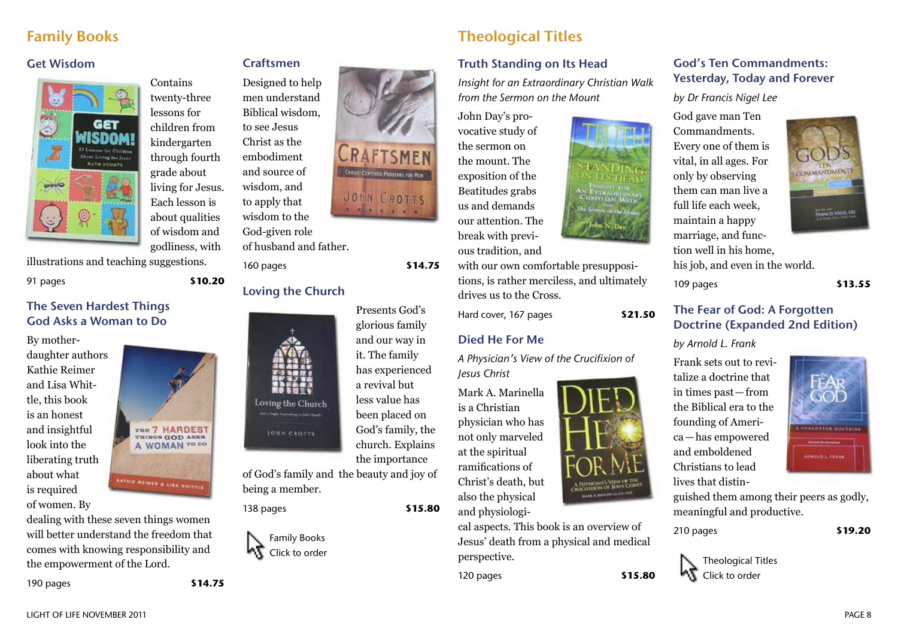# Family Books

#### Get Wisdom



Contains twenty-three lessons for children from kindergarten through fourth grade about living for Jesus. Each lesson is about qualities of wisdom and godliness, with

illustrations and teaching suggestions.

91 pages **\$10.20**

#### The Seven Hardest Things God Asks a Woman to Do

By motherdaughter authors Kathie Reimer and Lisa Whittle, this book is an honest and insightful look into the liberating truth about what is required of women. By



dealing with these seven things women will better understand the freedom that comes with knowing responsibility and the empowerment of the Lord.

190 pages **\$14.75**



God-given role of husband and father. 160 pages **\$14.75**

Craftsmen

to see Jesus Christ as the embodiment and source of wisdom, and to apply that

### Loving the Church

Presents God's glorious family and our way in it. The family has experienced a revival but less value has been placed on God's family, the church. Explains the importance

of God's family and the beauty and joy of being a member.

138 pages **\$15.80**

Loving the Church

**JOHN CROTTS** 



# Theological Titles

### Truth Standing on Its Head

*Insight for an Extraordinary Christian Walk from the Sermon on the Mount*

John Day's provocative study of the sermon on the mount. The exposition of the Beatitudes grabs us and demands our attention. The break with previous tradition, and



Hard cover, 167 pages **\$21.50**

### Died He For Me

*A Physician's View of the Crucifixion of Jesus Christ*

Mark A. Marinella is a Christian physician who has not only marveled at the spiritual ramifications of Christ's death, but also the physical and physiologi-



cal aspects. This book is an overview of Jesus' death from a physical and medical perspective.

120 pages **\$15.80**

### God's Ten Commandments: Yesterday, Today and Forever

*by Dr Francis Nigel Lee*

God gave man Ten Commandments. Every one of them is vital, in all ages. For only by observing them can man live a full life each week, maintain a happy marriage, and function well in his home, his job, and even in the world.



109 pages **\$13.55**

#### The Fear of God: A Forgotten Doctrine (Expanded 2nd Edition)

#### *by Arnold L. Frank*

Frank sets out to revitalize a doctrine that in times past—from the Biblical era to the founding of America—has empowered and emboldened Christians to lead lives that distin-



guished them among their peers as godly, meaningful and productive.

210 pages **\$19.20**

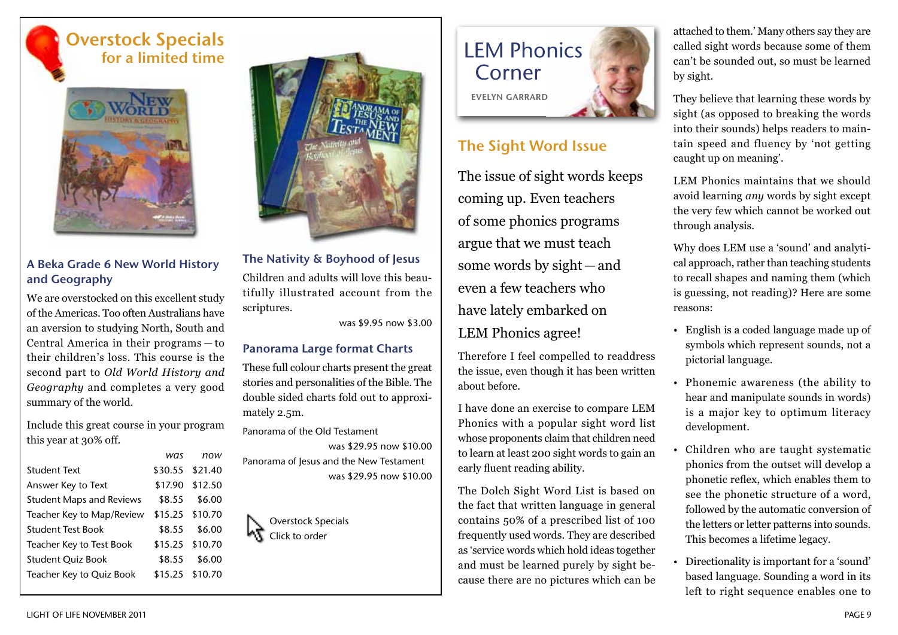# Overstock Specials for a limited time



### A Beka Grade 6 New World History and Geography

We are overstocked on this excellent study of the Americas. Too often Australians have an aversion to studying North, South and Central America in their programs — to their children's loss. This course is the second part to *Old World History and Geography* and completes a very good summary of the world.

Include this great course in your program this year at 30% off.

|                                 | was             | now             |
|---------------------------------|-----------------|-----------------|
| <b>Student Text</b>             | \$30.55 \$21.40 |                 |
| Answer Key to Text              |                 | \$17.90 \$12.50 |
| <b>Student Maps and Reviews</b> | \$8.55          | \$6.00          |
| Teacher Key to Map/Review       |                 | \$15.25 \$10.70 |
| <b>Student Test Book</b>        | \$8.55          | \$6.00          |
| Teacher Key to Test Book        |                 | \$15.25 \$10.70 |
| <b>Student Quiz Book</b>        | \$8.55          | \$6.00          |
| Teacher Key to Quiz Book        |                 | \$15.25 \$10.70 |



#### The Nativity & Boyhood of Jesus

Children and adults will love this beautifully illustrated account from the scriptures.

was \$9.95 now \$3.00

#### Panorama Large format Charts

These full colour charts present the great stories and personalities of the Bible. The double sided charts fold out to approximately 2.5m.

Panorama of the Old Testament was \$29.95 now \$10.00 Panorama of Jesus and the New Testament was \$29.95 now \$10.00

Overstock Specials Click to order

# LEM Phonics Corner Evelyn Garrard

# The Sight Word Issue

The issue of sight words keeps coming up. Even teachers of some phonics programs argue that we must teach some words by sight—and even a few teachers who have lately embarked on LEM Phonics agree!

Therefore I feel compelled to readdress the issue, even though it has been written about before.

I have done an exercise to compare LEM Phonics with a popular sight word list whose proponents claim that children need to learn at least 200 sight words to gain an early fluent reading ability.

The Dolch Sight Word List is based on the fact that written language in general contains 50% of a prescribed list of 100 frequently used words. They are described as 'service words which hold ideas together and must be learned purely by sight because there are no pictures which can be attached to them.' Many others say they are called sight words because some of them can't be sounded out, so must be learned by sight.

They believe that learning these words by sight (as opposed to breaking the words into their sounds) helps readers to maintain speed and fluency by 'not getting caught up on meaning'.

LEM Phonics maintains that we should avoid learning *any* words by sight except the very few which cannot be worked out through analysis.

Why does LEM use a 'sound' and analytical approach, rather than teaching students to recall shapes and naming them (which is guessing, not reading)? Here are some reasons:

- English is a coded language made up of symbols which represent sounds, not a pictorial language.
- Phonemic awareness (the ability to hear and manipulate sounds in words) is a major key to optimum literacy development.
- Children who are taught systematic phonics from the outset will develop a phonetic reflex, which enables them to see the phonetic structure of a word, followed by the automatic conversion of the letters or letter patterns into sounds. This becomes a lifetime legacy.
- Directionality is important for a 'sound' based language. Sounding a word in its left to right sequence enables one to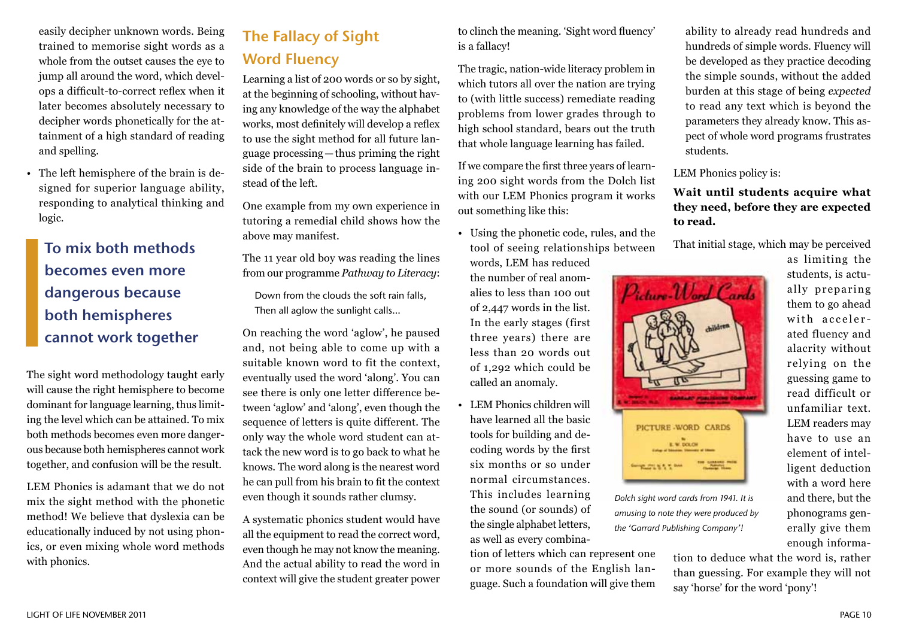easily decipher unknown words. Being trained to memorise sight words as a whole from the outset causes the eye to jump all around the word, which develops a difficult-to-correct reflex when it later becomes absolutely necessary to decipher words phonetically for the attainment of a high standard of reading and spelling.

• The left hemisphere of the brain is designed for superior language ability, responding to analytical thinking and logic.

To mix both methods becomes even more dangerous because both hemispheres cannot work together

The sight word methodology taught early will cause the right hemisphere to become dominant for language learning, thus limiting the level which can be attained. To mix both methods becomes even more dangerous because both hemispheres cannot work together, and confusion will be the result.

LEM Phonics is adamant that we do not mix the sight method with the phonetic method! We believe that dyslexia can be educationally induced by not using phonics, or even mixing whole word methods with phonics.

# The Fallacy of Sight Word Fluency

Learning a list of 200 words or so by sight, at the beginning of schooling, without having any knowledge of the way the alphabet works, most definitely will develop a reflex to use the sight method for all future language processing—thus priming the right side of the brain to process language instead of the left.

One example from my own experience in tutoring a remedial child shows how the above may manifest.

The 11 year old boy was reading the lines from our programme *Pathway to Literacy*:

Down from the clouds the soft rain falls, Then all aglow the sunlight calls…

On reaching the word 'aglow', he paused and, not being able to come up with a suitable known word to fit the context, eventually used the word 'along'. You can see there is only one letter difference between 'aglow' and 'along', even though the sequence of letters is quite different. The only way the whole word student can attack the new word is to go back to what he knows. The word along is the nearest word he can pull from his brain to fit the context even though it sounds rather clumsy.

A systematic phonics student would have all the equipment to read the correct word, even though he may not know the meaning. And the actual ability to read the word in context will give the student greater power to clinch the meaning. 'Sight word fluency' is a fallacy!

The tragic, nation-wide literacy problem in which tutors all over the nation are trying to (with little success) remediate reading problems from lower grades through to high school standard, bears out the truth that whole language learning has failed.

If we compare the first three years of learning 200 sight words from the Dolch list with our LEM Phonics program it works out something like this:

• Using the phonetic code, rules, and the tool of seeing relationships between

words, LEM has reduced the number of real anomalies to less than 100 out of 2,447 words in the list. In the early stages (first three years) there are less than 20 words out of 1,292 which could be called an anomaly.

• LEM Phonics children will have learned all the basic tools for building and decoding words by the first six months or so under normal circumstances. This includes learning the sound (or sounds) of the single alphabet letters, as well as every combina-

tion of letters which can represent one or more sounds of the English language. Such a foundation will give them

ability to already read hundreds and hundreds of simple words. Fluency will be developed as they practice decoding the simple sounds, without the added burden at this stage of being *expected* to read any text which is beyond the parameters they already know. This aspect of whole word programs frustrates students.

LEM Phonics policy is:

**Wait until students acquire what they need, before they are expected to read.**

That initial stage, which may be perceived

as limiting the students, is actually preparing them to go ahead with accelerated fluency and alacrity without relying on the guessing game to read difficult or unfamiliar text. LEM readers may have to use an element of intelligent deduction with a word here and there, but the phonograms generally give them enough informa-



*Dolch sight word cards from 1941. It is amusing to note they were produced by the 'Garrard Publishing Company'!*

> tion to deduce what the word is, rather than guessing. For example they will not say 'horse' for the word 'pony'!